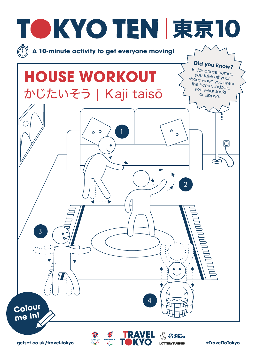